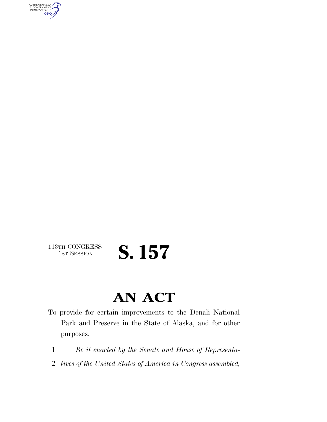AUTHENTICATED<br>U.S. GOVERNMENT<br>INFORMATION **GPO** 

113TH CONGRESS<br>1st Session

## S. 157

## **AN ACT**

- To provide for certain improvements to the Denali National Park and Preserve in the State of Alaska, and for other purposes.
	- 1 *Be it enacted by the Senate and House of Representa-*
	- 2 *tives of the United States of America in Congress assembled,*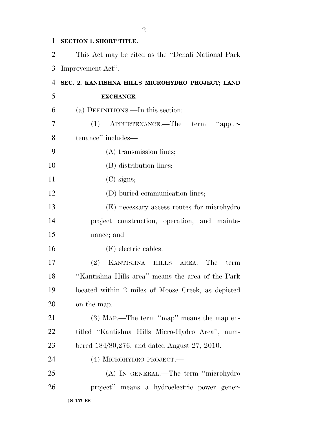## **SECTION 1. SHORT TITLE.**

 This Act may be cited as the ''Denali National Park Improvement Act''.

| 4  | SEC. 2. KANTISHNA HILLS MICROHYDRO PROJECT; LAND   |
|----|----------------------------------------------------|
| 5  | <b>EXCHANGE.</b>                                   |
| 6  | (a) DEFINITIONS.—In this section:                  |
| 7  | term "appur-<br>(1)<br>APPURTENANCE.—The           |
| 8  | tenance" includes—                                 |
| 9  | $(A)$ transmission lines;                          |
| 10 | (B) distribution lines;                            |
| 11 | $(C)$ signs;                                       |
| 12 | (D) buried communication lines;                    |
| 13 | (E) necessary access routes for microhydro         |
| 14 | project construction, operation, and mainte-       |
| 15 | nance; and                                         |
| 16 | (F) electric cables.                               |
| 17 | (2) KANTISHNA HILLS AREA.—The<br>term              |
| 18 | "Kantishna Hills area" means the area of the Park  |
| 19 | located within 2 miles of Moose Creek, as depicted |
| 20 | on the map.                                        |
| 21 | $(3)$ MAP.—The term "map" means the map en-        |
| 22 | titled "Kantishna Hills Micro-Hydro Area", num-    |
| 23 | bered $184/80,276$ , and dated August 27, 2010.    |
| 24 | (4) MICROHYDRO PROJECT.—                           |
| 25 | (A) IN GENERAL.—The term "microhydro               |
| 26 | project" means a hydroelectric power gener-        |
|    | $\dagger$ S 157 ES                                 |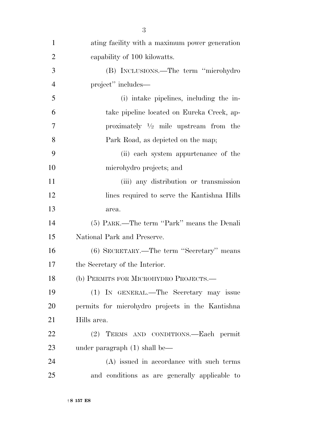| $\mathbf{1}$   | ating facility with a maximum power generation   |
|----------------|--------------------------------------------------|
| $\overline{2}$ | eapability of 100 kilowatts.                     |
| 3              | (B) INCLUSIONS.—The term "microhydro             |
| $\overline{4}$ | project" includes—                               |
| 5              | (i) intake pipelines, including the in-          |
| 6              | take pipeline located on Eureka Creek, ap-       |
| 7              | proximately $\frac{1}{2}$ mile upstream from the |
| 8              | Park Road, as depicted on the map;               |
| 9              | (ii) each system appurtenance of the             |
| 10             | microhydro projects; and                         |
| 11             | (iii) any distribution or transmission           |
| 12             | lines required to serve the Kantishna Hills      |
| 13             | area.                                            |
| 14             | (5) PARK.—The term "Park" means the Denali       |
| 15             | National Park and Preserve.                      |
| 16             | (6) SECRETARY.—The term "Secretary" means        |
| 17             | the Secretary of the Interior.                   |
| 18             | (b) PERMITS FOR MICROHYDRO PROJECTS.-            |
| 19             | (1) IN GENERAL.—The Secretary may issue          |
| 20             | permits for microhydro projects in the Kantishna |
| 21             | Hills area.                                      |
| 22             | TERMS AND CONDITIONS.-Each permit<br>(2)         |
| 23             | under paragraph $(1)$ shall be—                  |
| 24             | (A) issued in accordance with such terms         |
| 25             | and conditions as are generally applicable to    |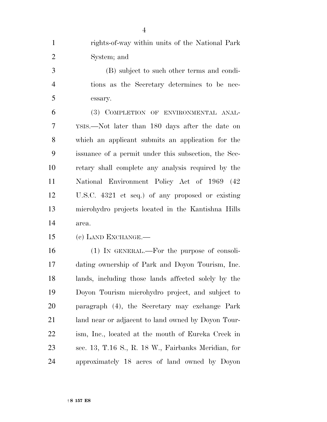- rights-of-way within units of the National Park System; and
- (B) subject to such other terms and condi- tions as the Secretary determines to be nec-essary.

 (3) COMPLETION OF ENVIRONMENTAL ANAL- YSIS.—Not later than 180 days after the date on which an applicant submits an application for the issuance of a permit under this subsection, the Sec- retary shall complete any analysis required by the National Environment Policy Act of 1969 (42 U.S.C. 4321 et seq.) of any proposed or existing microhydro projects located in the Kantishna Hills area.

(c) LAND EXCHANGE.—

 (1) IN GENERAL.—For the purpose of consoli- dating ownership of Park and Doyon Tourism, Inc. lands, including those lands affected solely by the Doyon Tourism microhydro project, and subject to paragraph (4), the Secretary may exchange Park land near or adjacent to land owned by Doyon Tour- ism, Inc., located at the mouth of Eureka Creek in sec. 13, T.16 S., R. 18 W., Fairbanks Meridian, for approximately 18 acres of land owned by Doyon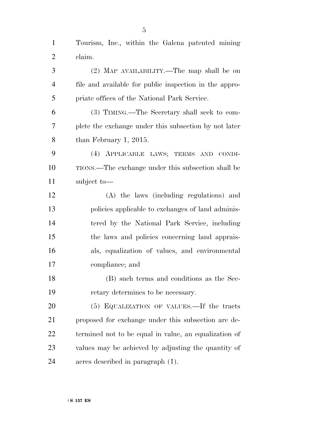Tourism, Inc., within the Galena patented mining claim.

 (2) MAP AVAILABILITY.—The map shall be on file and available for public inspection in the appro- priate offices of the National Park Service. (3) TIMING.—The Secretary shall seek to com- plete the exchange under this subsection by not later than February 1, 2015. (4) APPLICABLE LAWS; TERMS AND CONDI- TIONS.—The exchange under this subsection shall be subject to— (A) the laws (including regulations) and policies applicable to exchanges of land adminis- tered by the National Park Service, including the laws and policies concerning land apprais- als, equalization of values, and environmental compliance; and (B) such terms and conditions as the Sec- retary determines to be necessary. (5) EQUALIZATION OF VALUES.—If the tracts proposed for exchange under this subsection are de- termined not to be equal in value, an equalization of values may be achieved by adjusting the quantity of

†**S 157 ES**

acres described in paragraph (1).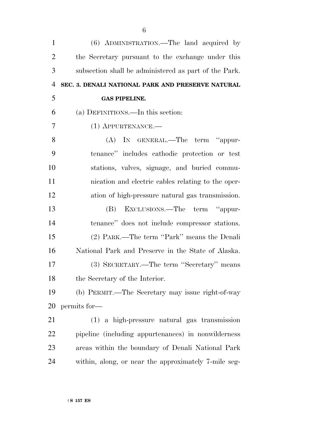| $\mathbf{1}$   | (6) ADMINISTRATION.—The land acquired by              |
|----------------|-------------------------------------------------------|
| $\overline{2}$ | the Secretary pursuant to the exchange under this     |
| 3              | subsection shall be administered as part of the Park. |
| $\overline{4}$ | SEC. 3. DENALI NATIONAL PARK AND PRESERVE NATURAL     |
| 5              | <b>GAS PIPELINE.</b>                                  |
| 6              | (a) DEFINITIONS.—In this section:                     |
| 7              | $(1)$ APPURTENANCE.—                                  |
| 8              | (A) IN GENERAL.—The term "appur-                      |
| 9              | tenance" includes cathodic protection or test         |
| 10             | stations, valves, signage, and buried commu-          |
| 11             | nication and electric cables relating to the oper-    |
| 12             | ation of high-pressure natural gas transmission.      |
| 13             | EXCLUSIONS.—The term "appur-<br>(B)                   |
| 14             | tenance" does not include compressor stations.        |
| 15             | (2) PARK.—The term "Park" means the Denali            |
| 16             | National Park and Preserve in the State of Alaska.    |
| 17             | (3) SECRETARY.—The term "Secretary" means             |
| 18             | the Secretary of the Interior.                        |
| 19             | (b) PERMIT.—The Secretary may issue right-of-way      |
| 20             | permits for-                                          |
| 21             | (1) a high-pressure natural gas transmission          |
| 22             | pipeline (including appurtenances) in nonwilderness   |
| 23             | areas within the boundary of Denali National Park     |
| 24             | within, along, or near the approximately 7-mile seg-  |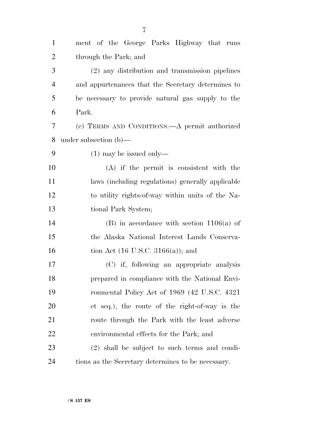| $\mathbf{1}$   | ment of the George Parks Highway that runs         |
|----------------|----------------------------------------------------|
| $\overline{2}$ | through the Park; and                              |
| 3              | (2) any distribution and transmission pipelines    |
| $\overline{4}$ | and appurtenances that the Secretary determines to |
| 5              | be necessary to provide natural gas supply to the  |
| 6              | Park.                                              |
| 7              | (c) TERMS AND CONDITIONS.—A permit authorized      |
| 8              | under subsection $(b)$ —                           |
| 9              | $(1)$ may be issued only—                          |
| 10             | $(A)$ if the permit is consistent with the         |
| 11             | laws (including regulations) generally applicable  |
| 12             | to utility rights-of-way within units of the Na-   |
| 13             | tional Park System;                                |
| 14             | $(B)$ in accordance with section 1106(a) of        |
| 15             | the Alaska National Interest Lands Conserva-       |
| 16             | tion Act $(16 \text{ U.S.C. } 3166(a))$ ; and      |
| 17             | (C) if, following an appropriate analysis          |
| 18             | prepared in compliance with the National Envi-     |
| 19             | ronmental Policy Act of 1969 (42 U.S.C. 4321)      |
| 20             | et seq.), the route of the right-of-way is the     |
| 21             | route through the Park with the least adverse      |
| 22             | environmental effects for the Park; and            |
| 23             | (2) shall be subject to such terms and condi-      |
| 24             | tions as the Secretary determines to be necessary. |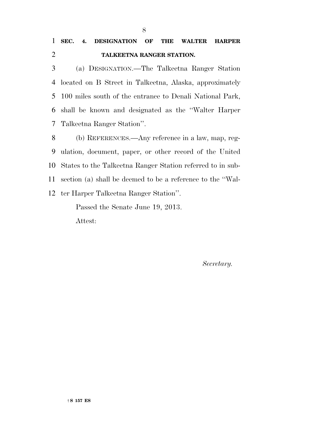(a) DESIGNATION.—The Talkeetna Ranger Station located on B Street in Talkeetna, Alaska, approximately 100 miles south of the entrance to Denali National Park, shall be known and designated as the ''Walter Harper Talkeetna Ranger Station''.

 (b) REFERENCES.—Any reference in a law, map, reg- ulation, document, paper, or other record of the United States to the Talkeetna Ranger Station referred to in sub- section (a) shall be deemed to be a reference to the ''Wal-ter Harper Talkeetna Ranger Station''.

Passed the Senate June 19, 2013.

Attest:

*Secretary.*